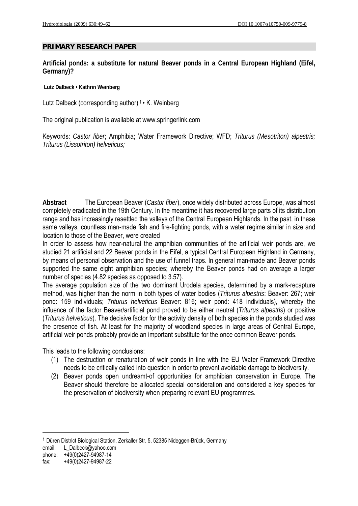# **PRIMARY RESEARCH PAPER**

**Artificial ponds: a substitute for natural Beaver ponds in a Central European Highland (Eifel, Germany)?** 

 **Lutz Dalbeck • Kathrin Weinberg** 

Lutz Dalbeck (corresponding author)<sup>1</sup> • K. Weinberg

The original publication is available at www.springerlink.com

Keywords: *Castor fiber*; Amphibia; Water Framework Directive; WFD; *Triturus (Mesotriton) alpestris; Triturus (Lissotriton) helveticus;* 

**Abstract** The European Beaver (*Castor fiber*), once widely distributed across Europe, was almost completely eradicated in the 19th Century. In the meantime it has recovered large parts of its distribution range and has increasingly resettled the valleys of the Central European Highlands. In the past, in these same valleys, countless man-made fish and fire-fighting ponds, with a water regime similar in size and location to those of the Beaver, were created

In order to assess how near-natural the amphibian communities of the artificial weir ponds are, we studied 21 artificial and 22 Beaver ponds in the Eifel, a typical Central European Highland in Germany, by means of personal observation and the use of funnel traps. In general man-made and Beaver ponds supported the same eight amphibian species; whereby the Beaver ponds had on average a larger number of species (4.82 species as opposed to 3.57).

The average population size of the two dominant Urodela species, determined by a mark-recapture method, was higher than the norm in both types of water bodies (*Triturus alpestris*: Beaver: 267; weir pond: 159 individuals; *Triturus helveticus* Beaver: 816; weir pond: 418 individuals), whereby the influence of the factor Beaver/artificial pond proved to be either neutral (*Triturus alpestris*) or positive (*Triturus helveticus*). The decisive factor for the activity density of both species in the ponds studied was the presence of fish. At least for the majority of woodland species in large areas of Central Europe, artificial weir ponds probably provide an important substitute for the once common Beaver ponds.

This leads to the following conclusions:

- (1) The destruction or renaturation of weir ponds in line with the EU Water Framework Directive needs to be critically called into question in order to prevent avoidable damage to biodiversity.
- (2) Beaver ponds open undreamt-of opportunities for amphibian conservation in Europe. The Beaver should therefore be allocated special consideration and considered a key species for the preservation of biodiversity when preparing relevant EU programmes.

1 Düren District Biological Station, Zerkaller Str. 5, 52385 Nideggen-Brück, Germany

email: L\_Dalbeck@yahoo.com

1

phone: +49(0)2427-94987-14

fax: +49(0)2427-94987-22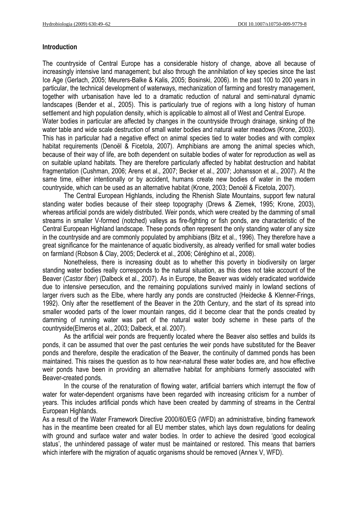## **Introduction**

The countryside of Central Europe has a considerable history of change, above all because of increasingly intensive land management; but also through the annihilation of key species since the last Ice Age (Gerlach, 2005; Meurers-Balke & Kalis, 2005; Bosinski, 2006). In the past 100 to 200 years in particular, the technical development of waterways, mechanization of farming and forestry management, together with urbanisation have led to a dramatic reduction of natural and semi-natural dynamic landscapes (Bender et al., 2005). This is particularly true of regions with a long history of human settlement and high population density, which is applicable to almost all of West and Central Europe. Water bodies in particular are affected by changes in the countryside through drainage, sinking of the water table and wide scale destruction of small water bodies and natural water meadows (Krone, 2003). This has in particular had a negative effect on animal species tied to water bodies and with complex habitat requirements (Denoël & Ficetola, 2007). Amphibians are among the animal species which, because of their way of life, are both dependent on suitable bodies of water for reproduction as well as on suitable upland habitats. They are therefore particularly affected by habitat destruction and habitat fragmentation (Cushman, 2006; Arens et al., 2007; Becker et al., 2007; Johansson et al., 2007). At the same time, either intentionally or by accident, humans create new bodies of water in the modern countryside, which can be used as an alternative habitat (Krone, 2003; Denoël & Ficetola, 2007).

 The Central European Highlands, including the Rhenish Slate Mountains, support few natural standing water bodies because of their steep topography (Drews & Ziemek, 1995; Krone, 2003), whereas artificial ponds are widely distributed. Weir ponds, which were created by the damming of small streams in smaller V-formed (notched) valleys as fire-fighting or fish ponds, are characteristic of the Central European Highland landscape. These ponds often represent the only standing water of any size in the countryside and are commonly populated by amphibians (Bitz et al., 1996). They therefore have a great significance for the maintenance of aquatic biodiversity, as already verified for small water bodies on farmland (Robson & Clay, 2005; Declerck et al., 2006; Céréghino et al., 2008).

 Nonetheless, there is increasing doubt as to whether this poverty in biodiversity on larger standing water bodies really corresponds to the natural situation, as this does not take account of the Beaver (*Castor fiber*) (Dalbeck et al., 2007). As in Europe, the Beaver was widely eradicated worldwide due to intensive persecution, and the remaining populations survived mainly in lowland sections of larger rivers such as the Elbe, where hardly any ponds are constructed (Heidecke & Klenner-Frings, 1992). Only after the resettlement of the Beaver in the 20th Century, and the start of its spread into smaller wooded parts of the lower mountain ranges, did it become clear that the ponds created by damming of running water was part of the natural water body scheme in these parts of the countryside(Elmeros et al., 2003; Dalbeck, et al. 2007).

 As the artificial weir ponds are frequently located where the Beaver also settles and builds its ponds, it can be assumed that over the past centuries the weir ponds have substituted for the Beaver ponds and therefore, despite the eradication of the Beaver, the continuity of dammed ponds has been maintained. This raises the question as to how near-natural these water bodies are, and how effective weir ponds have been in providing an alternative habitat for amphibians formerly associated with Beaver-created ponds.

 In the course of the renaturation of flowing water, artificial barriers which interrupt the flow of water for water-dependent organisms have been regarded with increasing criticism for a number of years. This includes artificial ponds which have been created by damming of streams in the Central European Highlands.

As a result of the Water Framework Directive 2000/60/EG (WFD) an administrative, binding framework has in the meantime been created for all EU member states, which lays down regulations for dealing with ground and surface water and water bodies. In order to achieve the desired 'good ecological status', the unhindered passage of water must be maintained or restored. This means that barriers which interfere with the migration of aquatic organisms should be removed (Annex V, WFD).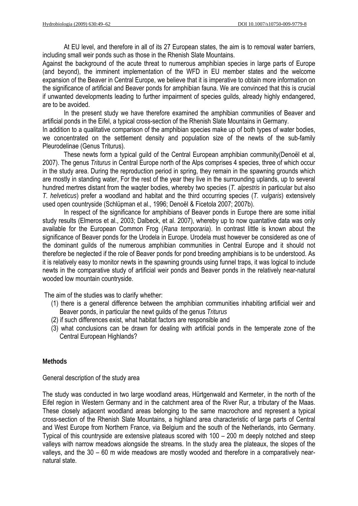At EU level, and therefore in all of its 27 European states, the aim is to removal water barriers, including small weir ponds such as those in the Rhenish Slate Mountains.

Against the background of the acute threat to numerous amphibian species in large parts of Europe (and beyond), the imminent implementation of the WFD in EU member states and the welcome expansion of the Beaver in Central Europe, we believe that it is imperative to obtain more information on the significance of artificial and Beaver ponds for amphibian fauna. We are convinced that this is crucial if unwanted developments leading to further impairment of species guilds, already highly endangered, are to be avoided.

 In the present study we have therefore examined the amphibian communities of Beaver and artificial ponds in the Eifel, a typical cross-section of the Rhenish Slate Mountains in Germany.

In addition to a qualitative comparison of the amphibian species make up of both types of water bodies, we concentrated on the settlement density and population size of the newts of the sub-family Pleurodelinae (Genus Triturus).

 These newts form a typical guild of the Central European amphibian community(Denoël et al, 2007). The genus *Triturus* in Central Europe north of the Alps comprises 4 species, three of which occur in the study area. During the reproduction period in spring, they remain in the spawning grounds which are mostly in standing water, For the rest of the year they live in the surrounding uplands, up to several hundred mertres distant from the waqter bodies, whereby two species (*T. alpestris* in particular but also *T. helveticus*) prefer a woodland and habitat and the third occurring species (*T. vulgaris*) extensively used open countryside (Schlüpman et al., 1996; Denoël & Ficetola 2007; 2007b).

 In respect of the significance for amphibians of Beaver ponds in Europe there are some initial study results (Elmeros et al., 2003; Dalbeck, et al. 2007), whereby up to now quantative data was only available for the European Common Frog (*Rana temporaria*). In contrast little is known about the significance of Beaver ponds for the Urodela in Europe. Urodela must however be considered as one of the dominant guilds of the numerous amphibian communities in Central Europe and it should not therefore be neglected if the role of Beaver ponds for pond breeding amphibians is to be understood. As it is relatively easy to monitor newts in the spawning grounds using funnel traps, it was logical to include newts in the comparative study of artificial weir ponds and Beaver ponds in the relatively near-natural wooded low mountain countryside.

The aim of the studies was to clarify whether:

- (1) there is a general difference between the amphibian communities inhabiting artificial weir and Beaver ponds, in particular the newt guilds of the genus *Triturus*
- (2) if such differences exist, what habitat factors are responsible and
- (3) what conclusions can be drawn for dealing with artificial ponds in the temperate zone of the Central European Highlands?

### **Methods**

General description of the study area

The study was conducted in two large woodland areas, Hürtgenwald and Kermeter, in the north of the Eifel region in Western Germany and in the catchment area of the River Rur, a tributary of the Maas. These closely adjacent woodland areas belonging to the same macrochore and represent a typical cross-section of the Rhenish Slate Mountains, a highland area characteristic of large parts of Central and West Europe from Northern France, via Belgium and the south of the Netherlands, into Germany. Typical of this countryside are extensive plateaus scored with 100 – 200 m deeply notched and steep valleys with narrow meadows alongside the streams. In the study area the plateaux, the slopes of the valleys, and the 30 – 60 m wide meadows are mostly wooded and therefore in a comparatively nearnatural state.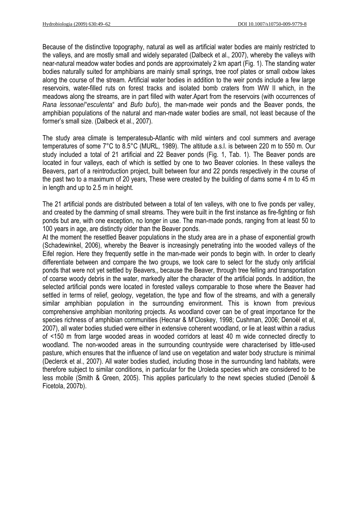Because of the distinctive topography, natural as well as artificial water bodies are mainly restricted to the valleys, and are mostly small and widely separated (Dalbeck et al., 2007), whereby the valleys with near-natural meadow water bodies and ponds are approximately 2 km apart (Fig. 1). The standing water bodies naturally suited for amphibians are mainly small springs, tree roof plates or small oxbow lakes along the course of the stream. Artificial water bodies in addition to the weir ponds include a few large reservoirs, water-filled ruts on forest tracks and isolated bomb craters from WW II which, in the meadows along the streams, are in part filled with water.Apart from the reservoirs (with occurrences of *Rana lessonae*/"*esculenta*" and *Bufo bufo*), the man-made weir ponds and the Beaver ponds, the amphibian populations of the natural and man-made water bodies are small, not least because of the former's small size. (Dalbeck et al., 2007).

The study area climate is temperatesub-Atlantic with mild winters and cool summers and average temperatures of some 7°C to 8.5°C (MURL, 1989). The altitude a.s.l. is between 220 m to 550 m. Our study included a total of 21 artificial and 22 Beaver ponds (Fig. 1, Tab. 1). The Beaver ponds are located in four valleys, each of which is settled by one to two Beaver colonies. In these valleys the Beavers, part of a reintroduction project, built between four and 22 ponds respectively in the course of the past two to a maximum of 20 years, These were created by the building of dams some 4 m to 45 m in length and up to 2.5 m in height.

The 21 artificial ponds are distributed between a total of ten valleys, with one to five ponds per valley, and created by the damming of small streams. They were built in the first instance as fire-fighting or fish ponds but are, with one exception, no longer in use. The man-made ponds, ranging from at least 50 to 100 years in age, are distinctly older than the Beaver ponds.

At the moment the resettled Beaver populations in the study area are in a phase of exponential growth (Schadewinkel, 2006), whereby the Beaver is increasingly penetrating into the wooded valleys of the Eifel region. Here they frequently settle in the man-made weir ponds to begin with. In order to clearly differentiate between and compare the two groups, we took care to select for the study only artificial ponds that were not yet settled by Beavers,, because the Beaver, through tree felling and transportation of coarse woody debris in the water, markedly alter the character of the artificial ponds. In addition, the selected artificial ponds were located in forested valleys comparable to those where the Beaver had settled in terms of relief, geology, vegetation, the type and flow of the streams, and with a generally similar amphibian population in the surrounding environment. This is known from previous comprehensive amphibian monitoring projects. As woodland cover can be of great importance for the species richness of amphibian communities (Hecnar & M'Closkey, 1998; Cushman, 2006; Denoël et al, 2007), all water bodies studied were either in extensive coherent woodland, or lie at least within a radius of <150 m from large wooded areas in wooded corridors at least 40 m wide connected directly to woodland. The non-wooded areas in the surrounding countryside were characterised by little-used pasture, which ensures that the influence of land use on vegetation and water body structure is minimal (Declerck et al., 2007). All water bodies studied, including those in the surrounding land habitats, were therefore subject to similar conditions, in particular for the Uroleda species which are considered to be less mobile (Smith & Green, 2005). This applies particularly to the newt species studied (Denoël & Ficetola, 2007b).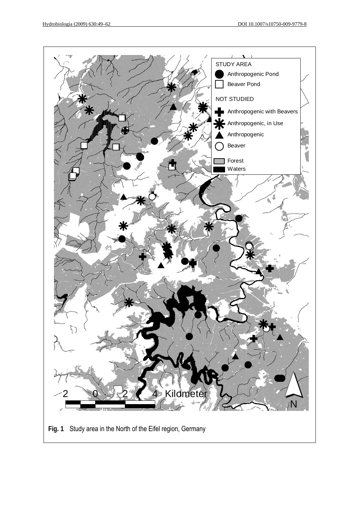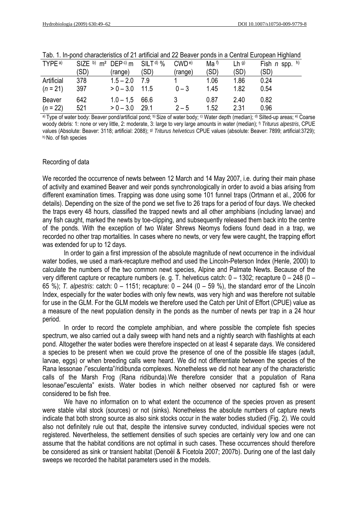| TYPE <sup>a)</sup> | SIZE b) $m^2$ DEP <sup>c</sup> ) $m$ SILT <sup>d</sup> ) % |             |      | $\mathsf{CWD}$ e) | Ma <sup>f</sup> | $Lh$ g) | Fish $n$ spp. $h$ ) |
|--------------------|------------------------------------------------------------|-------------|------|-------------------|-----------------|---------|---------------------|
|                    | (SD)                                                       | (range)     | (SD) | (range)           | (SD)            | (SD)    | (SD)                |
| Artificial         | 378                                                        | $1.5 - 2.0$ | 7.9  |                   | 1.06            | 1.86    | 0.24                |
| $(n = 21)$         | 397                                                        | $> 0 - 3.0$ | 11.5 | $0 - 3$           | 1.45            | 1.82    | 0.54                |
| Beaver             | 642                                                        | $1.0 - 1.5$ | 66.6 |                   | 0.87            | 2.40    | 0.82                |
| $(n=22)$           | 521                                                        | $> 0 - 3.0$ | 29.1 | $2 - 5$           | 1.52            | 2.31    | 0.96                |

|  |  |  | Tab. 1. In-pond characteristics of 21 artificial and 22 Beaver ponds in a Central European Highland |  |
|--|--|--|-----------------------------------------------------------------------------------------------------|--|
|--|--|--|-----------------------------------------------------------------------------------------------------|--|

a) Type of water body: Beaver pond/artificial pond; b) Size of water body; c) Water depth (median); d) Silted-up areas; e) Coarse woody debris: 1: none or very little, 2: moderate, 3: large to very large amounts in water (median); f) *Triturus alpestris*, CPUE values (Absolute: Beaver: 3118; artificial: 2088); g) *Triturus helveticus* CPUE values (absolute: Beaver: 7899; artificial:3729); h) No. of fish species

# Recording of data

We recorded the occurrence of newts between 12 March and 14 May 2007, i.e. during their main phase of activity and examined Beaver and weir ponds synchronologically in order to avoid a bias arising from different examination times. Trapping was done using some 101 funnel traps (Ortmann et al., 2006 for details). Depending on the size of the pond we set five to 26 traps for a period of four days. We checked the traps every 48 hours, classified the trapped newts and all other amphibians (including larvae) and any fish caught, marked the newts by toe-clipping, and subsequently released them back into the centre of the ponds. With the exception of two Water Shrews Neomys fodiens found dead in a trap, we recorded no other trap mortalities. In cases where no newts, or very few were caught, the trapping effort was extended for up to 12 days.

In order to gain a first impression of the absolute magnitude of newt occurrence in the individual water bodies, we used a mark-recapture method and used the Lincoln-Peterson Index (Henle, 2000) to calculate the numbers of the two common newt species, Alpine and Palmate Newts. Because of the very different capture or recapture numbers (e. g. T. helveticus catch: 0 – 1302; recapture 0 – 248 (0 – 65 %); *T. alpestris*: catch: 0 – 1151; recapture: 0 – 244 (0 – 59 %), the standard error of the Lincoln Index, especially for the water bodies with only few newts, was very high and was therefore not suitable for use in the GLM. For the GLM models we therefore used the Catch per Unit of Effort (CPUE) value as a measure of the newt population density in the ponds as the number of newts per trap in a 24 hour period.

In order to record the complete amphibian, and where possible the complete fish species spectrum, we also carried out a daily sweep with hand nets and a nightly search with flashlights at each pond. Altogether the water bodies were therefore inspected on at least 4 separate days. We considered a species to be present when we could prove the presence of one of the possible life stages (adult, larvae, eggs) or when breeding calls were heard. We did not differentiate between the species of the Rana lessonae /"esculenta"/ridibunda complexes. Nonetheless we did not hear any of the characteristic calls of the Marsh Frog (Rana ridibunda).We therefore consider that a population of Rana lesonae/"esculenta" exists. Water bodies in which neither observed nor captured fish or were considered to be fish free.

 We have no information on to what extent the occurrence of the species proven as present were stable vital stock (sources) or not (sinks). Nonetheless the absolute numbers of capture newts indicate that both strong source as also sink stocks occur in the water bodies studied (Fig. 2). We could also not definitely rule out that, despite the intensive survey conducted, individual species were not registered. Nevertheless, the settlement densities of such species are certainly very low and one can assume that the habitat conditions are not optimal in such cases. These occurrences should therefore be considered as sink or transient habitat (Denoël & Ficetola 2007; 2007b). During one of the last daily sweeps we recorded the habitat parameters used in the models.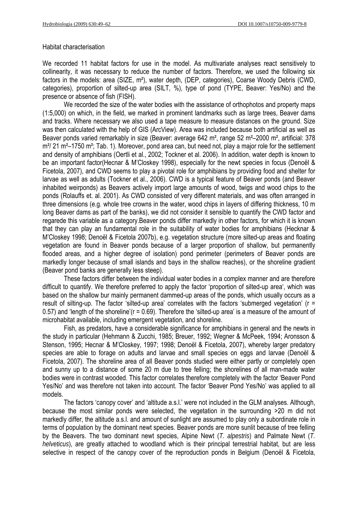#### Habitat characterisation

We recorded 11 habitat factors for use in the model. As multivariate analyses react sensitively to collinearity, it was necessary to reduce the number of factors. Therefore, we used the following six factors in the models: area (SIZE, m²), water depth, (DEP, categories), Coarse Woody Debris (CWD, categories), proportion of silted-up area (SILT, %), type of pond (TYPE, Beaver: Yes/No) and the presence or absence of fish (FISH).

We recorded the size of the water bodies with the assistance of orthophotos and property maps (1:5,000) on which, in the field, we marked in prominent landmarks such as large trees, Beaver dams and tracks. Where necessary we also used a tape measure to measure distances on the ground. Size was then calculated with the help of GIS (ArcView). Area was included because both artificial as well as Beaver ponds varied remarkably in size (Beaver: average 642 m², range 52 m²–2000 m², artificial: 378 m<sup>2</sup>/ 21 m<sup>2</sup>–1750 m<sup>2</sup>; Tab. 1). Moreover, pond area can, but need not, play a major role for the settlement and density of amphibians (Oertli et al., 2002; Tockner et al. 2006). In addition, water depth is known to be an important factor(Hecnar & M'Closkey 1998), especially for the newt species in focus (Denoël & Ficetola, 2007), and CWD seems to play a pivotal role for amphibians by providing food and shelter for larvae as well as adults (Tockner et al., 2006). CWD is a typical feature of Beaver ponds (and Beaver inhabited weirponds) as Beavers actively import large amounts of wood, twigs and wood chips to the ponds (Rolauffs et. al. 2001). As CWD consisted of very different materials, and was often arranged in three dimensions (e.g. whole tree crowns in the water, wood chips in layers of differing thickness, 10 m long Beaver dams as part of the banks), we did not consider it sensible to quantify the CWD factor and regarede this variable as a category.Beaver ponds differ markedly in other factors, for which it is known that they can play an fundamental role in the suitability of water bodies for amphibians (Hecknar & M'Closkey 1998; Denoël & Ficetola 2007b), e.g. vegetation structure (more silted-up areas and floating vegetation are found in Beaver ponds because of a larger proportion of shallow, but permanently flooded areas, and a higher degree of isolation) pond perimeter (perimeters of Beaver ponds are markedly longer because of small islands and bays in the shallow reaches), or the shoreline gradient (Beaver pond banks are generally less steep).

These factors differ between the individual water bodies in a complex manner and are therefore difficult to quantify. We therefore preferred to apply the factor 'proportion of silted-up area', which was based on the shallow bur mainly permanent dammed-up areas of the ponds, which usually occurs as a result of silting-up. The factor 'silted-up area' correlates with the factors 'submerged vegetation' (r = 0.57) and 'length of the shoreline'(r = 0.69). Therefore the 'silted-up area' is a measure of the amount of microhabitat available, including emergent vegetation, and shoreline.

Fish, as predators, have a considerable significance for amphibians in general and the newts in the study in particular (Hehmann & Zucchi, 1985; Breuer, 1992; Wegner & McPeek, 1994; Aronsson & Stenson, 1995; Hecnar & M'Closkey, 1997; 1998; Denoël & Ficetola, 2007), whereby larger predatory species are able to forage on adults and larvae and small species on eggs and larvae (Denoël & Ficetola, 2007). The shoreline area of all Beaver ponds studied were either partly or completely open and sunny up to a distance of some 20 m due to tree felling; the shorelines of all man-made water bodies were in contrast wooded. This factor correlates therefore completely with the factor 'Beaver Pond Yes/No' and was therefore not taken into account. The factor 'Beaver Pond Yes/No' was applied to all models.

The factors 'canopy cover' and 'altitude a.s.l.' were not included in the GLM analyses. Although, because the most similar ponds were selected, the vegetation in the surrounding >20 m did not markedly differ, the altitude a.s.l. and amount of sunlight are assumed to play only a subordinate role in terms of population by the dominant newt species. Beaver ponds are more sunlit because of tree felling by the Beavers. The two dominant newt species, Alpine Newt (*T. alpestris*) and Palmate Newt (*T. helveticus*), are greatly attached to woodland which is their principal terrestrial habitat, but are less selective in respect of the canopy cover of the reproduction ponds in Belgium (Denoël & Ficetola,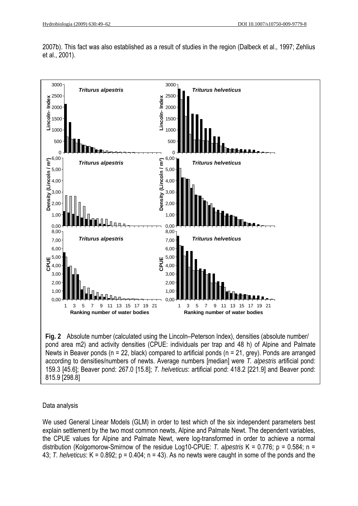



**Fig. 2** Absolute number (calculated using the Lincoln–Peterson Index), densities (absolute number/ pond area m2) and activity densities (CPUE: individuals per trap and 48 h) of Alpine and Palmate Newts in Beaver ponds (n = 22, black) compared to artificial ponds (n = 21, grey). Ponds are arranged according to densities/numbers of newts. Average numbers [median] were *T. alpestris* artificial pond: 159.3 [45.6]; Beaver pond: 267.0 [15.8]; *T. helveticus*: artificial pond: 418.2 [221.9] and Beaver pond: 815.9 [298.8]

# Data analysis

We used General Linear Models (GLM) in order to test which of the six independent parameters best explain settlement by the two most common newts, Alpine and Palmate Newt. The dependent variables, the CPUE values for Alpine and Palmate Newt, were log-transformed in order to achieve a normal distribution (Kolgomorow-Smirnow of the residue Log10-CPUE: *T. alpestris* K = 0.776; p = 0.584; n = 43; *T. helveticus*: K = 0.892; p = 0.404; n = 43). As no newts were caught in some of the ponds and the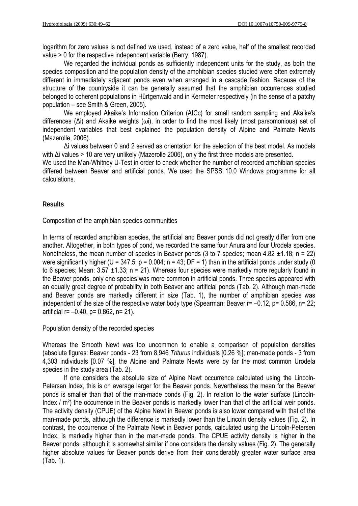logarithm for zero values is not defined we used, instead of a zero value, half of the smallest recorded value > 0 for the respective independent variable (Berry, 1987).

We regarded the individual ponds as sufficiently independent units for the study, as both the species composition and the population density of the amphibian species studied were often extremely different in immediately adjacent ponds even when arranged in a cascade fashion. Because of the structure of the countryside it can be generally assumed that the amphibian occurrences studied belonged to coherent populations in Hürtgenwald and in Kermeter respectively (in the sense of a patchy population – see Smith & Green, 2005).

We employed Akaike's Information Criterion (AICc) for small random sampling and Akaike's differences (Δi) and Akaike weights (ωi), in order to find the most likely (most parsomonious) set of independent variables that best explained the population density of Alpine and Palmate Newts (Mazerolle, 2006).

Δi values between 0 and 2 served as orientation for the selection of the best model. As models with Δi values > 10 are very unlikely (Mazerolle 2006), only the first three models are presented.

We used the Man-Whitney U-Test in order to check whether the number of recorded amphibian species differed between Beaver and artificial ponds. We used the SPSS 10.0 Windows programme for all calculations.

### **Results**

Composition of the amphibian species communities

In terms of recorded amphibian species, the artificial and Beaver ponds did not greatly differ from one another. Altogether, in both types of pond, we recorded the same four Anura and four Urodela species. Nonetheless, the mean number of species in Beaver ponds (3 to 7 species; mean  $4.82 \pm 1.18$ ; n = 22) were significantly higher (U = 347.5; p = 0.004; n = 43; DF = 1) than in the artificial ponds under study (0 to 6 species; Mean:  $3.57 \pm 1.33$ ; n = 21). Whereas four species were markedly more regularly found in the Beaver ponds, only one species was more common in artificial ponds. Three species appeared with an equally great degree of probability in both Beaver and artificial ponds (Tab. 2). Although man-made and Beaver ponds are markedly different in size (Tab. 1), the number of amphibian species was independent of the size of the respective water body type (Spearman: Beaver  $r = -0.12$ ,  $p = 0.586$ ,  $n = 22$ ; artificial  $r = -0.40$ ,  $p = 0.862$ ,  $n = 21$ ).

Population density of the recorded species

Whereas the Smooth Newt was too uncommon to enable a comparison of population densities (absolute figures: Beaver ponds - 23 from 8,946 *Triturus* individuals [0.26 %]; man-made ponds - 3 from 4,303 individuals [0.07 %], the Alpine and Palmate Newts were by far the most common Urodela species in the study area (Tab. 2).

If one considers the absolute size of Alpine Newt occurrence calculated using the Lincoln-Petersen Index, this is on average larger for the Beaver ponds. Nevertheless the mean for the Beaver ponds is smaller than that of the man-made ponds (Fig. 2). In relation to the water surface (Lincoln-Index / m²) the occurrence in the Beaver ponds is markedly lower than that of the artificial weir ponds. The activity density (CPUE) of the Alpine Newt in Beaver ponds is also lower compared with that of the man-made ponds, although the difference is markedly lower than the Lincoln density values (Fig. 2). In contrast, the occurrence of the Palmate Newt in Beaver ponds, calculated using the Lincoln-Petersen Index, is markedly higher than in the man-made ponds. The CPUE activity density is higher in the Beaver ponds, although it is somewhat similar if one considers the density values (Fig. 2). The generally higher absolute values for Beaver ponds derive from their considerably greater water surface area (Tab. 1).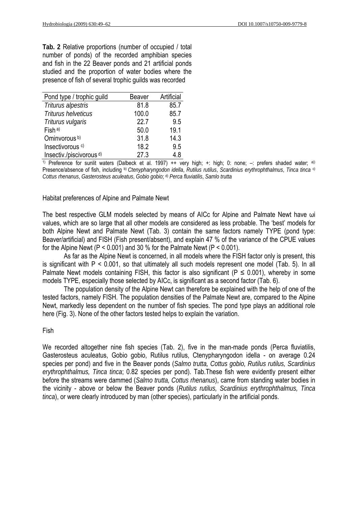**Tab. 2** Relative proportions (number of occupied / total number of ponds) of the recorded amphibian species and fish in the 22 Beaver ponds and 21 artificial ponds studied and the proportion of water bodies where the presence of fish of several trophic guilds was recorded

| Pond type / trophic guild           | Beaver | Artificial |
|-------------------------------------|--------|------------|
| Triturus alpestris                  | 81.8   | 85.7       |
| Triturus helveticus                 | 100.0  | 85.7       |
| Triturus vulgaris                   | 22.7   | 9.5        |
| $Fish^{a)}$                         | 50.0   | 19.1       |
| Ominvorous <sup>b)</sup>            | 31.8   | 14.3       |
| Insectivorous <sup>c)</sup>         | 18.2   | 9.5        |
| Insectiv /piscivorous <sup>d)</sup> | 27.3   | 4.8        |

1) Preference for sunlit waters (Dalbeck et al. 1997) ++ very high; +: high; 0: none; -: prefers shaded water; a)) Presence/absence of fish, including b) *Ctenypharyngodon idella*, *Rutilus rutilus*, *Scardinius erythrophthalmus*, *Tinca tinca* c) *Cottus rhenanus*, *Gasterosteus aculeatus*, *Gobio gobio*; d) *Perca fluviatilis*, *Samlo trutta*

Habitat preferences of Alpine and Palmate Newt

The best respective GLM models selected by means of AICc for Alpine and Palmate Newt have ωi values, which are so large that all other models are considered as less probable. The 'best' models for both Alpine Newt and Palmate Newt (Tab. 3) contain the same factors namely TYPE (pond type: Beaver/artificial) and FISH (Fish present/absent), and explain 47 % of the variance of the CPUE values for the Alpine Newt  $(P < 0.001)$  and 30 % for the Palmate Newt  $(P < 0.001)$ .

 As far as the Alpine Newt is concerned, in all models where the FISH factor only is present, this is significant with  $P < 0.001$ , so that ultimately all such models represent one model (Tab. 5). In all Palmate Newt models containing FISH, this factor is also significant ( $P \le 0.001$ ), whereby in some models TYPE, especially those selected by AICc, is significant as a second factor (Tab. 6).

The population density of the Alpine Newt can therefore be explained with the help of one of the tested factors, namely FISH. The population densities of the Palmate Newt are, compared to the Alpine Newt, markedly less dependent on the number of fish species. The pond type plays an additional role here (Fig. 3). None of the other factors tested helps to explain the variation.

### Fish

We recorded altogether nine fish species (Tab. 2), five in the man-made ponds (Perca fluviatilis, Gasterosteus aculeatus, Gobio gobio, Rutilus rutilus, Ctenypharyngodon idella - on average 0.24 species per pond) and five in the Beaver ponds (*Salmo trutta, Cottus gobio, Rutilus rutilus, Scardinius erythrophthalmus, Tinca tinca*; 0.82 species per pond). Tab.These fish were evidently present either before the streams were dammed (*Salmo trutta, Cottus rhenanus*), came from standing water bodies in the vicinity - above or below the Beaver ponds (*Rutilus rutilus, Scardinius erythrophthalmus, Tinca tinca*), or were clearly introduced by man (other species), particularly in the artificial ponds.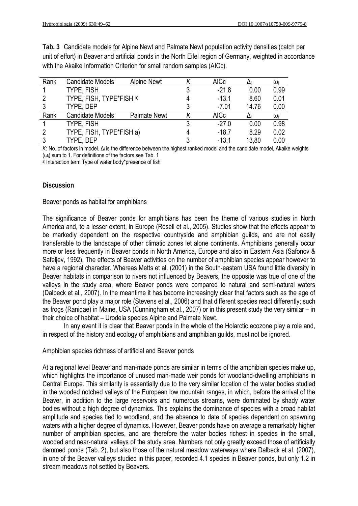**Tab. 3** Candidate models for Alpine Newt and Palmate Newt population activity densities (catch per unit of effort) in Beaver and artificial ponds in the North Eifel region of Germany, weighted in accordance with the Akaike Information Criterion for small random samples (AICc).

| Rank | <b>Candidate Models</b>  | <b>Alpine Newt</b>  | <b>AICc</b> |       | ω    |
|------|--------------------------|---------------------|-------------|-------|------|
|      | TYPE, FISH               |                     | $-21.8$     | 0.00  | 0.99 |
|      | TYPE, FISH, TYPE*FISH a) |                     | $-13.1$     | 8.60  | 0.01 |
|      | TYPE, DEP                |                     | $-7.01$     | 14.76 | 0.00 |
| Rank | <b>Candidate Models</b>  | <b>Palmate Newt</b> | <b>AICc</b> |       | ω    |
|      | TYPE, FISH               |                     | $-27.0$     | 0.00  | 0.98 |
|      | TYPE, FISH, TYPE*FISH a) | $-18.7$             | 8.29        | 0.02  |      |
|      | TYPE, DEP                |                     | $-13.1$     | 13,80 | 0.00 |

*K*: No. of factors in model. Δi is the difference between the highest ranked model and the candidate model, Akaike weights  $(\omega_i)$  sum to 1. For definitions of the factors see Tab. 1

a) Interaction term Type of water body\*presence of fish

### **Discussion**

Beaver ponds as habitat for amphibians

The significance of Beaver ponds for amphibians has been the theme of various studies in North America and, to a lesser extent, in Europe (Rosell et al., 2005). Studies show that the effects appear to be markedly dependent on the respective countryside and amphibian guilds, and are not easily transferable to the landscape of other climatic zones let alone continents. Amphibians generally occur more or less frequently in Beaver ponds in North America, Europe and also in Eastern Asia (Safonov & Safeljev, 1992). The effects of Beaver activities on the number of amphibian species appear however to have a regional character. Whereas Metts et al. (2001) in the South-eastern USA found little diversity in Beaver habitats in comparison to rivers not influenced by Beavers, the opposite was true of one of the valleys in the study area, where Beaver ponds were compared to natural and semi-natural waters (Dalbeck et al., 2007). In the meantime it has become increasingly clear that factors such as the age of the Beaver pond play a major role (Stevens et al., 2006) and that different species react differently; such as frogs (Ranidae) in Maine, USA (Cunningham et al., 2007) or in this present study the very similar – in their choice of habitat – Urodela species Alpine and Palmate Newt.

 In any event it is clear that Beaver ponds in the whole of the Holarctic ecozone play a role and, in respect of the history and ecology of amphibians and amphibian guilds, must not be ignored.

Amphibian species richness of artificial and Beaver ponds

At a regional level Beaver and man-made ponds are similar in terms of the amphibian species make up, which highlights the importance of unused man-made weir ponds for woodland-dwelling amphibians in Central Europe. This similarity is essentially due to the very similar location of the water bodies studied in the wooded notched valleys of the European low mountain ranges, in which, before the arrival of the Beaver, in addition to the large reservoirs and numerous streams, were dominated by shady water bodies without a high degree of dynamics. This explains the dominance of species with a broad habitat amplitude and species tied to woodland, and the absence to date of species dependent on spawning waters with a higher degree of dynamics. However, Beaver ponds have on average a remarkably higher number of amphibian species, and are therefore the water bodies richest in species in the small, wooded and near-natural valleys of the study area. Numbers not only greatly exceed those of artificially dammed ponds (Tab. 2), but also those of the natural meadow waterways where Dalbeck et al. (2007), in one of the Beaver valleys studied in this paper, recorded 4.1 species in Beaver ponds, but only 1.2 in stream meadows not settled by Beavers.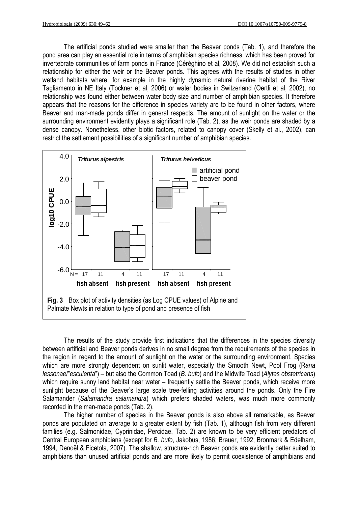The artificial ponds studied were smaller than the Beaver ponds (Tab. 1), and therefore the pond area can play an essential role in terms of amphibian species richness, which has been proved for invertebrate communities of farm ponds in France (Céréghino et al, 2008). We did not establish such a relationship for either the weir or the Beaver ponds. This agrees with the results of studies in other wetland habitats where, for example in the highly dynamic natural riverine habitat of the River Tagliamento in NE Italy (Tockner et al, 2006) or water bodies in Switzerland (Oertli et al, 2002), no relationship was found either between water body size and number of amphibian species. It therefore appears that the reasons for the difference in species variety are to be found in other factors, where Beaver and man-made ponds differ in general respects. The amount of sunlight on the water or the surrounding environment evidently plays a significant role (Tab. 2), as the weir ponds are shaded by a dense canopy. Nonetheless, other biotic factors, related to canopy cover (Skelly et al., 2002), can restrict the settlement possibilities of a significant number of amphibian species.



The results of the study provide first indications that the differences in the species diversity between artificial and Beaver ponds derives in no small degree from the requirements of the species in the region in regard to the amount of sunlight on the water or the surrounding environment. Species which are more strongly dependent on sunlit water, especially the Smooth Newt, Pool Frog (R*ana lessonae*/"*esculenta*") – but also the Common Toad (*B. bufo*) and the Midwife Toad (*Alytes obstetricans*) which require sunny land habitat near water – frequently settle the Beaver ponds, which receive more sunlight because of the Beaver's large scale tree-felling activities around the ponds. Only the Fire Salamander (*Salamandra salamandra*) which prefers shaded waters, was much more commonly recorded in the man-made ponds (Tab. 2).

The higher number of species in the Beaver ponds is also above all remarkable, as Beaver ponds are populated on average to a greater extent by fish (Tab. 1), although fish from very different families (e.g. Salmonidae, Cyprinidae, Percidae, Tab. 2) are known to be very efficient predators of Central European amphibians (except for *B. bufo*, Jakobus, 1986; Breuer, 1992; Bronmark & Edelham, 1994, Denoël & Ficetola, 2007). The shallow, structure-rich Beaver ponds are evidently better suited to amphibians than unused artificial ponds and are more likely to permit coexistence of amphibians and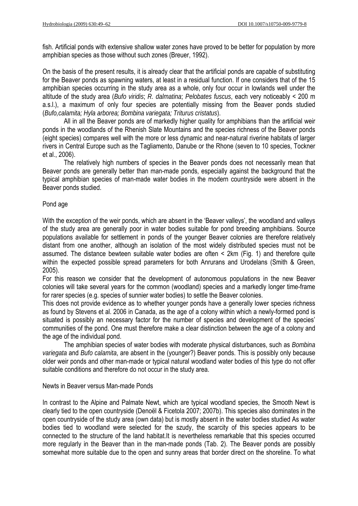fish. Artificial ponds with extensive shallow water zones have proved to be better for population by more amphibian species as those without such zones (Breuer, 1992).

On the basis of the present results, it is already clear that the artificial ponds are capable of substituting for the Beaver ponds as spawning waters, at least in a residual function. If one considers that of the 15 amphibian species occurring in the study area as a whole, only four occur in lowlands well under the altitude of the study area (*Bufo viridis*; *R. dalmatina*; *Pelobates fuscus*, each very noticeably < 200 m a.s.l.), a maximum of only four species are potentially missing from the Beaver ponds studied (*Bufo,calamita; Hyla arborea; Bombina variegata; Triturus cristatus*).

 All in all the Beaver ponds are of markedly higher quality for amphibians than the artificial weir ponds in the woodlands of the Rhenish Slate Mountains and the species richness of the Beaver ponds (eight species) compares well with the more or less dynamic and near-natural riverine habitats of larger rivers in Central Europe such as the Tagliamento, Danube or the Rhone (seven to 10 species, Tockner et al., 2006).

 The relatively high numbers of species in the Beaver ponds does not necessarily mean that Beaver ponds are generally better than man-made ponds, especially against the background that the typical amphibian species of man-made water bodies in the modern countryside were absent in the Beaver ponds studied.

#### Pond age

With the exception of the weir ponds, which are absent in the 'Beaver valleys', the woodland and valleys of the study area are generally poor in water bodies suitable for pond breeding amphibians. Source populations available for settlement in ponds of the younger Beaver colonies are therefore relatively distant from one another, although an isolation of the most widely distributed species must not be assumed. The distance bewteen suitable water bodies are often < 2km (Fig. 1) and therefore quite within the expected possible spread parameters for both Anrurans and Urodelans (Smith & Green, 2005).

For this reason we consider that the development of autonomous populations in the new Beaver colonies will take several years for the common (woodland) species and a markedly longer time-frame for rarer species (e.g. species of sunnier water bodies) to settle the Beaver colonies.

This does not provide evidence as to whether younger ponds have a generally lower species richness as found by Stevens et al. 2006 in Canada, as the age of a colony within which a newly-formed pond is situated is possibly an necessary factor for the number of species and development of the species' communities of the pond. One must therefore make a clear distinction between the age of a colony and the age of the individual pond.

 The amphibian species of water bodies with moderate physical disturbances, such as *Bombina variegata* and *Bufo calamita*, are absent in the (younger?) Beaver ponds. This is possibly only because older weir ponds and other man-made or typical natural woodland water bodies of this type do not offer suitable conditions and therefore do not occur in the study area.

Newts in Beaver versus Man-made Ponds

In contrast to the Alpine and Palmate Newt, which are typical woodland species, the Smooth Newt is clearly tied to the open countryside (Denoël & Ficetola 2007; 2007b). This species also dominates in the open countryside of the study area (own data) but is mostly absent in the water bodies studied As water bodies tied to woodland were selected for the szudy, the scarcity of this species appears to be connected to the structure of the land habitat.It is nevertheless remarkable that this species occurred more regularly in the Beaver than in the man-made ponds (Tab. 2). The Beaver ponds are possibly somewhat more suitable due to the open and sunny areas that border direct on the shoreline. To what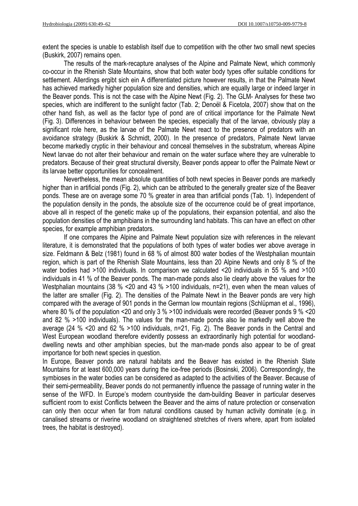extent the species is unable to establish itself due to competition with the other two small newt species (Buskirk, 2007) remains open.

The results of the mark-recapture analyses of the Alpine and Palmate Newt, which commonly co-occur in the Rhenish Slate Mountains, show that both water body types offer suitable conditions for settlement. Allerdings ergibt sich ein A differentiated picture however results, in that the Palmate Newt has achieved markedly higher population size and densities, which are equally large or indeed larger in the Beaver ponds. This is not the case with the Alpine Newt (Fig. 2). The GLM- Analyses for these two species, which are indifferent to the sunlight factor (Tab. 2; Denoël & Ficetola, 2007) show that on the other hand fish, as well as the factor type of pond are of critical importance for the Palmate Newt (Fig. 3). Differences in behaviour between the species, especially that of the larvae, obviously play a significant role here, as the larvae of the Palmate Newt react to the presence of predators with an avoidance strategy (Buskirk & Schmidt, 2000). In the presence of predators, Palmate Newt larvae become markedly cryptic in their behaviour and conceal themselves in the substratum, whereas Alpine Newt larvae do not alter their behaviour and remain on the water surface where they are vulnerable to predators. Because of their great structural diversity, Beaver ponds appear to offer the Palmate Newt or its larvae better opportunities for concealment.

 Nevertheless, the mean absolute quantities of both newt species in Beaver ponds are markedly higher than in artificial ponds (Fig. 2), which can be attributed to the generally greater size of the Beaver ponds. These are on average some 70 % greater in area than artificial ponds (Tab. 1). Independent of the population density in the ponds, the absolute size of the occurrence could be of great importance, above all in respect of the genetic make up of the populations, their expansion potential, and also the population densities of the amphibians in the surrounding land habitats. This can have an effect on other species, for example amphibian predators.

 If one compares the Alpine and Palmate Newt population size with references in the relevant literature, it is demonstrated that the populations of both types of water bodies wer above average in size. Feldmann & Belz (1981) found in 68 % of almost 800 water bodies of the Westphalian mountain region, which is part of the Rhenish Slate Mountains, less than 20 Alpine Newts and only 8 % of the water bodies had >100 individuals. In comparison we calculated <20 individuals in 55 % and >100 individuals in 41 % of the Beaver ponds. The man-made ponds also lie clearly above the values for the Westphalian mountains (38 % <20 and 43 % >100 individuals, n=21), even when the mean values of the latter are smaller (Fig. 2). The densities of the Palmate Newt in the Beaver ponds are very high compared with the average of 901 ponds in the German low mountain regions (Schlüpman et al., 1996), where 80 % of the population <20 and only 3 % >100 individuals were recorded (Beaver ponds 9 % <20 and 82 % >100 individuals). The values for the man-made ponds also lie markedly well above the average (24 % <20 and 62 % >100 individuals, n=21, Fig. 2). The Beaver ponds in the Central and West European woodland therefore evidently possess an extraordinarily high potential for woodlanddwelling newts and other amphibian species, but the man-made ponds also appear to be of great importance for both newt species in question.

In Europe, Beaver ponds are natural habitats and the Beaver has existed in the Rhenish Slate Mountains for at least 600,000 years during the ice-free periods (Bosinski, 2006). Correspondingly, the symbioses in the water bodies can be considered as adapted to the activities of the Beaver. Because of their semi-permeability, Beaver ponds do not permanently influence the passage of running water in the sense of the WFD. In Europe's modern countryside the dam-building Beaver in particular deserves sufficient room to exist Conflicts between the Beaver and the aims of nature protection or conservation can only then occur when far from natural conditions caused by human activity dominate (e.g. in canalised streams or riverine woodland on straightened stretches of rivers where, apart from isolated trees, the habitat is destroyed).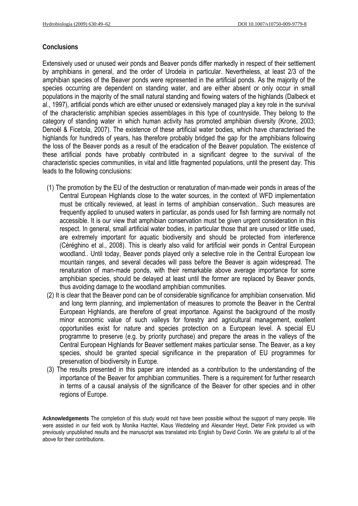# **Conclusions**

Extensively used or unused weir ponds and Beaver ponds differ markedly in respect of their settlement by amphibians in general, and the order of Urodela in particular. Nevertheless, at least 2/3 of the amphibian species of the Beaver ponds were represented in the artificial ponds. As the majority of the species occurring are dependent on standing water, and are either absent or only occur in small populations in the majority of the small natural standing and flowing waters of the highlands (Dalbeck et al., 1997), artificial ponds which are either unused or extensively managed play a key role in the survival of the characteristic amphibian species assemblages in this type of countryside. They belong to the category of standing water in which human activity has promoted amphibian diversity (Krone, 2003; Denoël & Ficetola, 2007). The existence of these artificial water bodies, which have characterised the highlands for hundreds of years, has therefore probably bridged the gap for the amphibians following the loss of the Beaver ponds as a result of the eradication of the Beaver population. The existence of these artificial ponds have probably contributed in a significant degree to the survival of the characteristic species communities, in vital and little fragmented populations, until the present day. This leads to the following conclusions:

- (1) The promotion by the EU of the destruction or renaturation of man-made weir ponds in areas of the Central European Highlands close to the water sources, in the context of WFD implementation must be critically reviewed, at least in terms of amphibian conservation.. Such measures are frequently applied to unused waters in particular, as ponds used for fish farming are normally not accessible. It is our view that amphibian conservation must be given urgent consideration in this respect. In general, small artificial water bodies, in particular those that are unused or little used, are extremely important for aquatic biodiversity and should be protected from interference (Céréghino et al., 2008). This is clearly also valid for artificial weir ponds in Central European woodland.. Until today, Beaver ponds played only a selective role in the Central European low mountain ranges, and several decades will pass before the Beaver is again widespread. The renaturation of man-made ponds, with their remarkable above average importance for some amphibian species, should be delayed at least until the former are replaced by Beaver ponds, thus avoiding damage to the woodland amphibian communities.
- (2) It is clear that the Beaver pond can be of considerable significance for amphibian conservation. Mid and long term planning, and implementation of measures to promote the Beaver in the Central European Highlands, are therefore of great importance. Against the background of the mostly minor economic value of such valleys for forestry and agricultural management, exellent opportunities exist for nature and species protection on a European level. A special EU programme to preserve (e.g. by priority purchase) and prepare the areas in the valleys of the Central European Highlands for Beaver settlement makes particular sense. The Beaver, as a key species, should be granted special significance in the preparation of EU programmes for preservation of biodiversity in Europe.
- (3) The results presented in this paper are intended as a contribution to the understanding of the importance of the Beaver for amphibian communities. There is a requirement for further research in terms of a causal analysis of the significance of the Beaver for other species and in other regions of Europe.

**Acknowledgements** The completion of this study would not have been possible without the support of many people. We were assisted in our field work by Monika Hachtel, Klaus Weddeling and Alexander Heyd, Dieter Fink provided us with previously unpublished results and the manuscript was translated into English by David Conlin. We are grateful to all of the above for their contributions.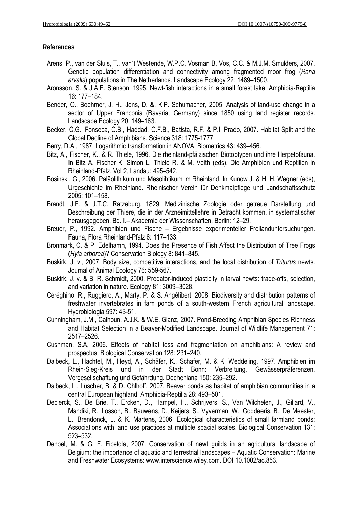#### **References**

- Arens, P., van der Sluis, T., van´t Westende, W.P.C, Vosman B, Vos, C.C. & M.J.M. Smulders, 2007. Genetic population differentiation and connectivity among fragmented moor frog (*Rana arvalis*) populations in The Netherlands. Landscape Ecology 22: 1489–1500.
- Aronsson, S. & J.A.E. Stenson, 1995. Newt-fish interactions in a small forest lake. Amphibia-Reptilia 16: 177–184.
- Bender, O., Boehmer, J. H., Jens, D. &, K.P. Schumacher, 2005. Analysis of land-use change in a sector of Upper Franconia (Bavaria, Germany) since 1850 using land register records. Landscape Ecology 20: 149–163.
- Becker, C.G., Fonseca, C.B., Haddad, C.F.B., Batista, R.F. & P.I. Prado, 2007. Habitat Split and the Global Decline of Amphibians. Science 318: 1775-1777.
- Berry, D.A., 1987. Logarithmic transformation in ANOVA. Biometrics 43: 439–456.
- Bitz, A., Fischer, K., & R. Thiele, 1996. Die rheinland-pfälzischen Biotoptypen und ihre Herpetofauna. In Bitz A. Fischer K. Simon L. Thiele R. & M. Veith (eds), Die Amphibien und Reptilien in Rheinland-Pfalz, Vol 2, Landau: 495–542.
- Bosinski, G., 2006. Paläolithikum und Mesolihtikum im Rheinland. In Kunow J. & H. H. Wegner (eds), Urgeschichte im Rheinland. Rheinischer Verein für Denkmalpflege und Landschaftsschutz 2005: 101–158.
- Brandt, J.F. & J.T.C. Ratzeburg, 1829. Medizinische Zoologie oder getreue Darstellung und Beschreibung der Thiere, die in der Arzneimittellehre in Betracht kommen, in systematischer herausgegeben, Bd. I.– Akademie der Wissenschaften, Berlin: 12–29.
- Breuer, P., 1992. Amphibien und Fische Ergebnisse experimenteller Freilanduntersuchungen. Fauna, Flora Rheinland-Pfalz 6: 117–133.
- Bronmark, C. & P. Edelhamn, 1994. Does the Presence of Fish Affect the Distribution of Tree Frogs (*Hyla arborea*)? Conservation Biology 8: 841–845.
- Buskirk, J. v., 2007. Body size, competitive interactions, and the local distribution of *Triturus* newts. Journal of Animal Ecology 76: 559-567.
- Buskirk, J. v. & B. R. Schmidt, 2000. Predator-induced plasticity in larval newts: trade-offs, selection, and variation in nature. Ecology 81: 3009–3028.
- Céréghino, R., Ruggiero, A., Marty, P. & S. Angélibert, 2008. Biodiversity and distribution patterns of freshwater invertebrates in fam ponds of a south-western French agricultural landscape. Hydrobiologia 597: 43-51.
- Cunningham, J.M., Calhoun, A.J.K. & W.E. Glanz, 2007. Pond-Breeding Amphibian Species Richness and Habitat Selection in a Beaver-Modified Landscape. Journal of Wildlife Management 71: 2517–2526.
- Cushman, S.A, 2006. Effects of habitat loss and fragmentation on amphibians: A review and prospectus. Biological Conservation 128: 231–240.
- Dalbeck, L., Hachtel, M., Heyd, A., Schäfer, K., Schäfer, M. & K. Weddeling, 1997. Amphibien im Rhein-Sieg-Kreis und in der Stadt Bonn: Verbreitung, Gewässerpräferenzen, Vergesellschaftung und Gefährdung. Decheniana 150: 235–292.
- Dalbeck, L., Lüscher, B. & D. Ohlhoff, 2007. Beaver ponds as habitat of amphibian communities in a central European highland. Amphibia-Reptilia 28: 493–501.
- Declerck, S., De Brie, T., Ercken, D., Hampel, H., Schrijvers, S., Van Wilchelen, J., Gillard, V., Mandiki, R., Losson, B., Bauwens, D., Keijers, S., Vyverman, W., Goddeeris, B., De Meester, L., Brendonck, L. & K. Martens, 2006. Ecological characteristics of small farmland ponds: Associations with land use practices at multiple spacial scales. Biological Conservation 131: 523–532.
- Denoël, M. & G. F. Ficetola, 2007. Conservation of newt guilds in an agricultural landscape of Belgium: the importance of aquatic and terrestrial landscapes.– Aquatic Conservation: Marine and Freshwater Ecosystems: www.interscience.wiley.com. DOI 10.1002/ac.853.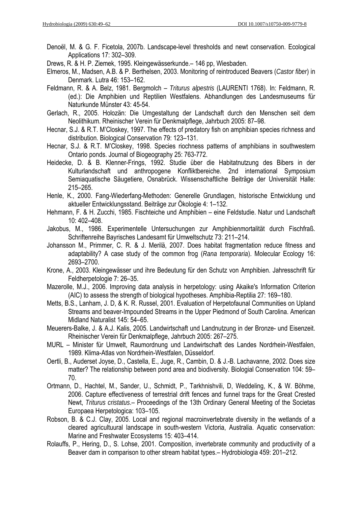Denoël, M. & G. F. Ficetola, 2007b. Landscape-level thresholds and newt conservation. Ecological Applications 17: 302–309.

Drews, R. & H. P. Ziemek, 1995. Kleingewässerkunde.– 146 pp, Wiesbaden.

- Elmeros, M., Madsen, A.B. & P. Berthelsen, 2003. Monitoring of reintroduced Beavers (*Castor fiber*) in Denmark. Lutra 46: 153–162.
- Feldmann, R. & A. Belz, 1981. Bergmolch *Triturus alpestris* (LAURENTI 1768). In: Feldmann, R. (ed.): Die Amphibien und Reptilien Westfalens. Abhandlungen des Landesmuseums für Naturkunde Münster 43: 45-54.
- Gerlach, R., 2005. Holozän: Die Umgestaltung der Landschaft durch den Menschen seit dem Neolithikum. Rheinischer Verein für Denkmalpflege, Jahrbuch 2005: 87–98.
- Hecnar, S.J. & R.T. M'Closkey, 1997. The effects of predatory fish on amphibian species richness and distribution. Biological Conservation 79: 123–131.
- Hecnar, S.J. & R.T. M'Closkey, 1998. Species riochness patterns of amphibians in southwestern Ontario ponds. Journal of Biogeography 25: 763-772.
- Heidecke, D. & B. Klenner-Frings, 1992. Studie über die Habitatnutzung des Bibers in der Kulturlandschaft und anthropogene Konfliktbereiche. 2nd international Symposium Semiaquatische Säugetiere, Osnabrück. Wissenschaftliche Beiträge der Universität Halle: 215–265.
- Henle, K., 2000. Fang-Wiederfang-Methoden: Generelle Grundlagen, historische Entwicklung und aktueller Entwicklungsstand. Beiträge zur Ökologie 4: 1–132.
- Hehmann, F. & H. Zucchi, 1985. Fischteiche und Amphibien eine Feldstudie. Natur und Landschaft 10: 402–408.
- Jakobus, M., 1986. Experimentelle Untersuchungen zur Amphibienmortalität durch Fischfraß. Schriftenreihe Bayrisches Landesamt für Umweltschutz 73: 211–214.
- Johansson M., Primmer, C. R. & J. Merilä, 2007. Does habitat fragmentation reduce fitness and adaptability? A case study of the common frog (*Rana temporaria*). Molecular Ecology 16: 2693–2700.
- Krone, A., 2003. Kleingewässer und ihre Bedeutung für den Schutz von Amphibien. Jahresschrift für Feldherpetologie 7: 26–35.
- Mazerolle, M.J., 2006. Improving data analysis in herpetology: using Akaike's Information Criterion (AIC) to assess the strength of biological hypotheses. Amphibia-Reptilia 27: 169–180.
- Metts, B.S., Lanham, J. D, & K. R. Russel, 2001. Evaluation of Herpetofaunal Communities on Upland Streams and beaver-Impounded Streams in the Upper Piedmond of South Carolina. American Midland Naturalist 145: 54–65.
- Meuerers-Balke, J. & A.J. Kalis, 2005. Landwirtschaft und Landnutzung in der Bronze- und Eisenzeit. Rheinischer Verein für Denkmalpflege, Jahrbuch 2005: 267–275.
- MURL Minister für Umwelt, Raumordnung und Landwirtschaft des Landes Nordrhein-Westfalen, 1989. Klima-Atlas von Nordrhein-Westfalen, Düsseldorf.
- Oertli, B., Auderset Joyse, D., Castella, E., Juge, R., Cambin, D. & J.-B. Lachavanne, 2002. Does size matter? The relationship between pond area and biodiversity. Biologial Conservation 104: 59– 70.
- Ortmann, D., Hachtel, M., Sander, U., Schmidt, P., Tarkhnishvili, D, Weddeling, K., & W. Böhme, 2006. Capture effectiveness of terrestrial drift fences and funnel traps for the Great Crested Newt, *Triturus cristatus*.– Proceedings of the 13th Ordinary General Meeting of the Societas Europaea Herpetologica: 103–105.
- Robson, B. & C.J. Clay, 2005. Local and regional macroinvertebrate diversity in the wetlands of a cleared agricultuural landscape in south-western Victoria, Australia. Aquatic conservation: Marine and Freshwater Ecosystems 15: 403–414.
- Rolauffs, P., Hering, D., S. Lohse, 2001. Composition, invertebrate community and productivity of a Beaver dam in comparison to other stream habitat types.– Hydrobiologia 459: 201–212.